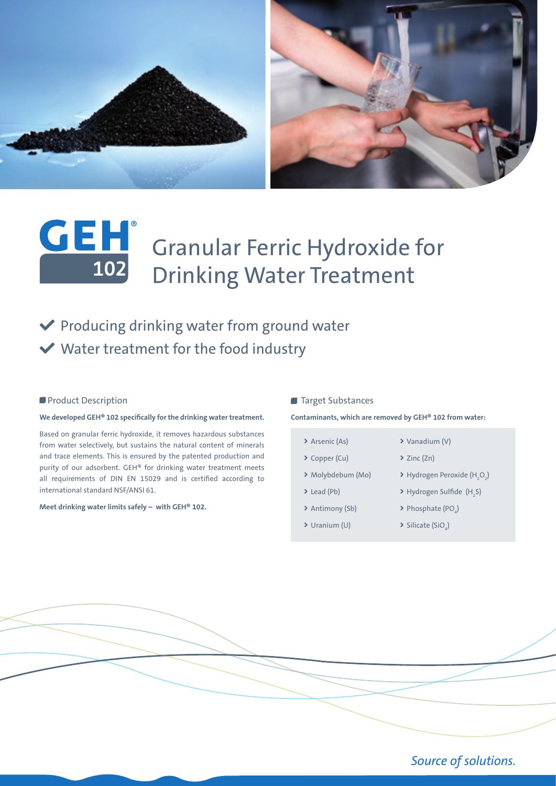



## Granular Ferric Hydroxide for 102 Drinking Water Treatment **R**

### $\blacktriangleright$  Producing drinking water from ground water Water treatment for the food industry

### **Product Description**

### **We developed GEH® 102 specifically for the drinking water treatment.**

Based on granular ferric hydroxide, it removes hazardous substances from water selectively, but sustains the natural content of minerals and trace elements. This is ensured by the patented production and purity of our adsorbent. GEH® for drinking water treatment meets all requirements of DIN EN 15029 and is certified according to international standard NSF/ANSI 61.

#### **Meet drinking water limits safely – with GEH® 102.**

■ Target Substances

**Contaminants, which are removed by GEH® 102 from water:**

- > Arsenic (As)
- > Copper (Cu)
- Molybdebum (Mo)
- Lead (Pb)
- > Antimony (Sb)
- Uranium (U)
- Vanadium (V)
- $\sum$  Zinc (Zn)
- $\blacktriangleright$  Hydrogen Peroxide (H<sub>2</sub>O<sub>2</sub>)
- $\blacktriangleright$  Hydrogen Sulfide (H<sub>2</sub>S)
- $\blacktriangleright$  Phosphate (PO<sub>4</sub>)
- $\blacktriangleright$  Silicate (SiO<sub>4</sub>)